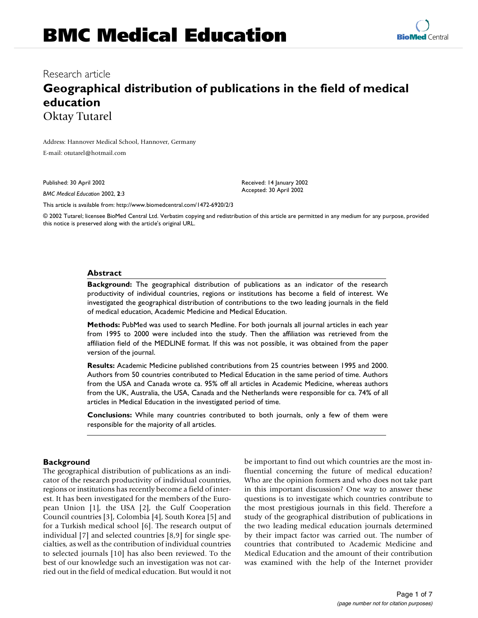## Research article

# **Geographical distribution of publications in the field of medical education** Oktay Tutarel

Address: Hannover Medical School, Hannover, Germany E-mail: otutarel@hotmail.com

Published: 30 April 2002

*BMC Medical Education* 2002, **2**:3

Received: 14 January 2002 Accepted: 30 April 2002

[This article is available from: http://www.biomedcentral.com/1472-6920/2/3](http://www.biomedcentral.com/1472-6920/2/3)

© 2002 Tutarel; licensee BioMed Central Ltd. Verbatim copying and redistribution of this article are permitted in any medium for any purpose, provided this notice is preserved along with the article's original URL.

#### **Abstract**

**Background:** The geographical distribution of publications as an indicator of the research productivity of individual countries, regions or institutions has become a field of interest. We investigated the geographical distribution of contributions to the two leading journals in the field of medical education, Academic Medicine and Medical Education.

**Methods:** PubMed was used to search Medline. For both journals all journal articles in each year from 1995 to 2000 were included into the study. Then the affiliation was retrieved from the affiliation field of the MEDLINE format. If this was not possible, it was obtained from the paper version of the journal.

**Results:** Academic Medicine published contributions from 25 countries between 1995 and 2000. Authors from 50 countries contributed to Medical Education in the same period of time. Authors from the USA and Canada wrote ca. 95% off all articles in Academic Medicine, whereas authors from the UK, Australia, the USA, Canada and the Netherlands were responsible for ca. 74% of all articles in Medical Education in the investigated period of time.

**Conclusions:** While many countries contributed to both journals, only a few of them were responsible for the majority of all articles.

#### **Background**

The geographical distribution of publications as an indicator of the research productivity of individual countries, regions or institutions has recently become a field of interest. It has been investigated for the members of the European Union [1], the USA [2], the Gulf Cooperation Council countries [3], Colombia [4], South Korea [5] and for a Turkish medical school [6]. The research output of individual [7] and selected countries [8,9] for single specialties, as well as the contribution of individual countries to selected journals [10] has also been reviewed. To the best of our knowledge such an investigation was not carried out in the field of medical education. But would it not

be important to find out which countries are the most influential concerning the future of medical education? Who are the opinion formers and who does not take part in this important discussion? One way to answer these questions is to investigate which countries contribute to the most prestigious journals in this field. Therefore a study of the geographical distribution of publications in the two leading medical education journals determined by their impact factor was carried out. The number of countries that contributed to Academic Medicine and Medical Education and the amount of their contribution was examined with the help of the Internet provider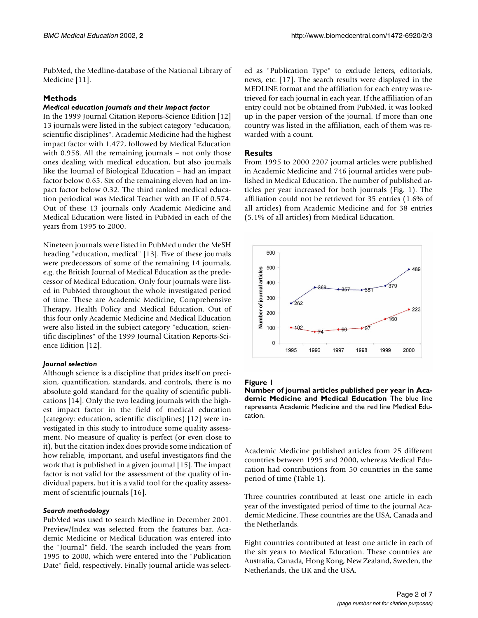PubMed, the Medline-database of the National Library of Medicine [11].

## **Methods**

#### *Medical education journals and their impact factor*

In the 1999 Journal Citation Reports-Science Edition [12] 13 journals were listed in the subject category "education, scientific disciplines". Academic Medicine had the highest impact factor with 1.472, followed by Medical Education with 0.958. All the remaining journals – not only those ones dealing with medical education, but also journals like the Journal of Biological Education – had an impact factor below 0.65. Six of the remaining eleven had an impact factor below 0.32. The third ranked medical education periodical was Medical Teacher with an IF of 0.574. Out of these 13 journals only Academic Medicine and Medical Education were listed in PubMed in each of the years from 1995 to 2000.

Nineteen journals were listed in PubMed under the MeSH heading "education, medical" [13]. Five of these journals were predecessors of some of the remaining 14 journals, e.g. the British Journal of Medical Education as the predecessor of Medical Education. Only four journals were listed in PubMed throughout the whole investigated period of time. These are Academic Medicine, Comprehensive Therapy, Health Policy and Medical Education. Out of this four only Academic Medicine and Medical Education were also listed in the subject category "education, scientific disciplines" of the 1999 Journal Citation Reports-Science Edition [12].

#### *Journal selection*

Although science is a discipline that prides itself on precision, quantification, standards, and controls, there is no absolute gold standard for the quality of scientific publications [14]. Only the two leading journals with the highest impact factor in the field of medical education (category: education, scientific disciplines) [12] were investigated in this study to introduce some quality assessment. No measure of quality is perfect (or even close to it), but the citation index does provide some indication of how reliable, important, and useful investigators find the work that is published in a given journal [15]. The impact factor is not valid for the assessment of the quality of individual papers, but it is a valid tool for the quality assessment of scientific journals [16].

#### *Search methodology*

PubMed was used to search Medline in December 2001. Preview/Index was selected from the features bar. Academic Medicine or Medical Education was entered into the "Journal" field. The search included the years from 1995 to 2000, which were entered into the "Publication Date" field, respectively. Finally journal article was selected as "Publication Type" to exclude letters, editorials, news, etc. [17]. The search results were displayed in the MEDLINE format and the affiliation for each entry was retrieved for each journal in each year. If the affiliation of an entry could not be obtained from PubMed, it was looked up in the paper version of the journal. If more than one country was listed in the affiliation, each of them was rewarded with a count.

## **Results**

From 1995 to 2000 2207 journal articles were published in Academic Medicine and 746 journal articles were published in Medical Education. The number of published articles per year increased for both journals (Fig. 1). The affiliation could not be retrieved for 35 entries (1.6% of all articles) from Academic Medicine and for 38 entries (5.1% of all articles) from Medical Education.



#### **Figure 1**

**Number of journal articles published per year in Academic Medicine and Medical Education** The blue line represents Academic Medicine and the red line Medical Education.

Academic Medicine published articles from 25 different countries between 1995 and 2000, whereas Medical Education had contributions from 50 countries in the same period of time (Table 1).

Three countries contributed at least one article in each year of the investigated period of time to the journal Academic Medicine. These countries are the USA, Canada and the Netherlands.

Eight countries contributed at least one article in each of the six years to Medical Education. These countries are Australia, Canada, Hong Kong, New Zealand, Sweden, the Netherlands, the UK and the USA.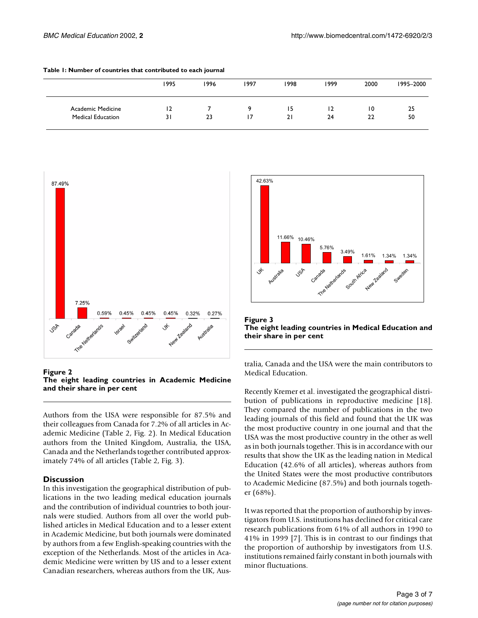|                          | 1995 | 1996 | 1997 | 1998 | 1999 | 2000 | 1995-2000 |
|--------------------------|------|------|------|------|------|------|-----------|
| Academic Medicine        | 12   |      |      | נ ו  | 12   | 10   | 25        |
| <b>Medical Education</b> | 31   | 23   |      | 21   | 24   | 22   | 50        |

|  |  | Table 1: Number of countries that contributed to each journal |  |  |  |  |
|--|--|---------------------------------------------------------------|--|--|--|--|
|--|--|---------------------------------------------------------------|--|--|--|--|



**Figure 2 The eight leading countries in Academic Medicine and their share in per cent**

Authors from the USA were responsible for 87.5% and their colleagues from Canada for 7.2% of all articles in Academic Medicine (Table 2, Fig. 2). In Medical Education authors from the United Kingdom, Australia, the USA, Canada and the Netherlands together contributed approximately 74% of all articles (Table 2, Fig. 3).

#### **Discussion**

In this investigation the geographical distribution of publications in the two leading medical education journals and the contribution of individual countries to both journals were studied. Authors from all over the world published articles in Medical Education and to a lesser extent in Academic Medicine, but both journals were dominated by authors from a few English-speaking countries with the exception of the Netherlands. Most of the articles in Academic Medicine were written by US and to a lesser extent Canadian researchers, whereas authors from the UK, Aus-



**Figure 3 The eight leading countries in Medical Education and their share in per cent**

tralia, Canada and the USA were the main contributors to Medical Education.

Recently Kremer et al. investigated the geographical distribution of publications in reproductive medicine [18]. They compared the number of publications in the two leading journals of this field and found that the UK was the most productive country in one journal and that the USA was the most productive country in the other as well as in both journals together. This is in accordance with our results that show the UK as the leading nation in Medical Education (42.6% of all articles), whereas authors from the United States were the most productive contributors to Academic Medicine (87.5%) and both journals together (68%).

It was reported that the proportion of authorship by investigators from U.S. institutions has declined for critical care research publications from 61% of all authors in 1990 to 41% in 1999 [7]. This is in contrast to our findings that the proportion of authorship by investigators from U.S. institutions remained fairly constant in both journals with minor fluctuations.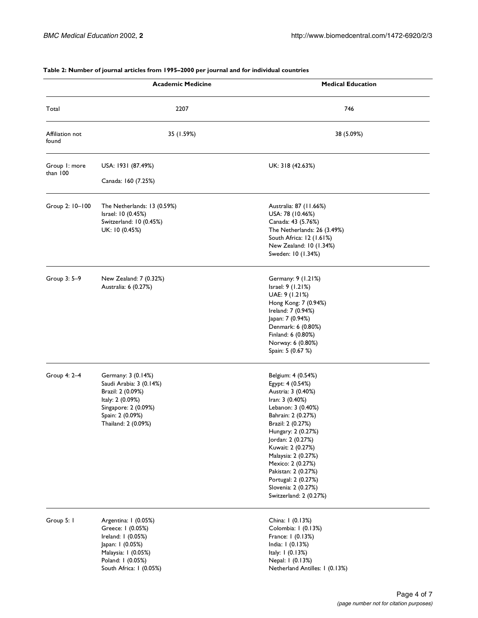|                          | <b>Academic Medicine</b>                                                                                                                                   | <b>Medical Education</b>                                                                                                                                                                                                                                                                                                                                    |
|--------------------------|------------------------------------------------------------------------------------------------------------------------------------------------------------|-------------------------------------------------------------------------------------------------------------------------------------------------------------------------------------------------------------------------------------------------------------------------------------------------------------------------------------------------------------|
| Total                    | 2207                                                                                                                                                       | 746                                                                                                                                                                                                                                                                                                                                                         |
| Affiliation not<br>found | 35 (1.59%)                                                                                                                                                 | 38 (5.09%)                                                                                                                                                                                                                                                                                                                                                  |
| Group 1: more            | USA: 1931 (87.49%)                                                                                                                                         | UK: 318 (42.63%)                                                                                                                                                                                                                                                                                                                                            |
| than 100                 | Canada: 160 (7.25%)                                                                                                                                        |                                                                                                                                                                                                                                                                                                                                                             |
| Group 2: 10-100          | The Netherlands: 13 (0.59%)<br>Israel: 10 (0.45%)<br>Switzerland: 10 (0.45%)<br>UK: 10 (0.45%)                                                             | Australia: 87 (11.66%)<br>USA: 78 (10.46%)<br>Canada: 43 (5.76%)<br>The Netherlands: 26 (3.49%)<br>South Africa: 12 (1.61%)<br>New Zealand: 10 (1.34%)<br>Sweden: 10 (1.34%)                                                                                                                                                                                |
| Group 3: 5-9             | New Zealand: 7 (0.32%)<br>Australia: 6 (0.27%)                                                                                                             | Germany: 9 (1.21%)<br>Israel: 9 (1.21%)<br>UAE: 9 (1.21%)<br>Hong Kong: 7 (0.94%)<br>Ireland: 7 (0.94%)<br>Japan: 7 (0.94%)<br>Denmark: 6 (0.80%)<br>Finland: 6 (0.80%)<br>Norway: 6 (0.80%)<br>Spain: 5 (0.67 %)                                                                                                                                           |
| Group 4: 2-4             | Germany: 3 (0.14%)<br>Saudi Arabia: 3 (0.14%)<br>Brazil: 2 (0.09%)<br>Italy: 2 (0.09%)<br>Singapore: 2 (0.09%)<br>Spain: 2 (0.09%)<br>Thailand: 2 (0.09%)  | Belgium: 4 (0.54%)<br>Egypt: 4 (0.54%)<br>Austria: 3 (0.40%)<br>Iran: 3 (0.40%)<br>Lebanon: 3 (0.40%)<br>Bahrain: 2 (0.27%)<br>Brazil: 2 (0.27%)<br>Hungary: 2 (0.27%)<br>Jordan: 2 (0.27%)<br>Kuwait: 2 (0.27%)<br>Malaysia: 2 (0.27%)<br>Mexico: 2 (0.27%)<br>Pakistan: 2 (0.27%)<br>Portugal: 2 (0.27%)<br>Slovenia: 2 (0.27%)<br>Switzerland: 2 (0.27%) |
| Group 5: I               | Argentina: I (0.05%)<br>Greece: I (0.05%)<br>Ireland: 1 (0.05%)<br>Japan: 1 (0.05%)<br>Malaysia: 1 (0.05%)<br>Poland: I (0.05%)<br>South Africa: I (0.05%) | China: 1 (0.13%)<br>Colombia: 1 (0.13%)<br>France: 1 (0.13%)<br>India: I (0.13%)<br>Italy: 1 (0.13%)<br>Nepal: 1 (0.13%)<br>Netherland Antilles: 1 (0.13%)                                                                                                                                                                                                  |

#### **Table 2: Number of journal articles from 1995–2000 per journal and for individual countries**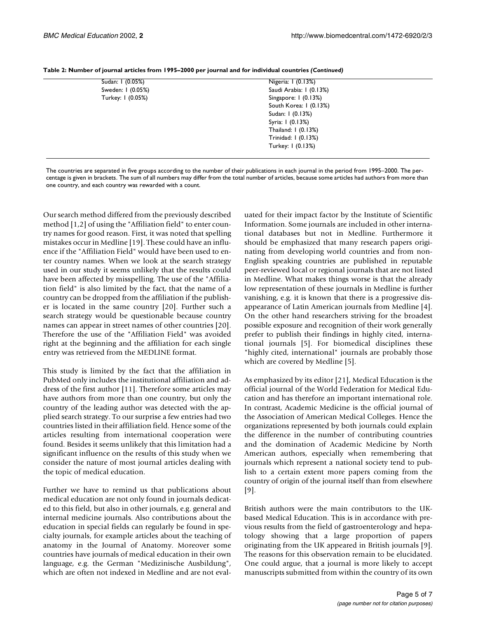| Sudan: 1 (0.05%)  | Nigeria: 1 (0.13%)      |  |
|-------------------|-------------------------|--|
| Sweden: I (0.05%) | Saudi Arabia: I (0.13%) |  |
| Turkey: 1 (0.05%) | Singapore: 1 (0.13%)    |  |
|                   | South Korea: 1 (0.13%)  |  |
|                   | Sudan: 1 (0.13%)        |  |
|                   | Syria: 1 (0.13%)        |  |
|                   | Thailand: 1 (0.13%)     |  |
|                   | Trinidad: 1 (0.13%)     |  |
|                   | Turkey: 1 (0.13%)       |  |
|                   |                         |  |

**Table 2: Number of journal articles from 1995–2000 per journal and for individual countries** *(Continued)*

The countries are separated in five groups according to the number of their publications in each journal in the period from 1995–2000. The percentage is given in brackets. The sum of all numbers may differ from the total number of articles, because some articles had authors from more than one country, and each country was rewarded with a count.

Our search method differed from the previously described method [1,2] of using the "Affiliation field" to enter country names for good reason. First, it was noted that spelling mistakes occur in Medline [19]. These could have an influence if the "Affiliation Field" would have been used to enter country names. When we look at the search strategy used in our study it seems unlikely that the results could have been affected by misspelling. The use of the "Affiliation field" is also limited by the fact, that the name of a country can be dropped from the affiliation if the publisher is located in the same country [20]. Further such a search strategy would be questionable because country names can appear in street names of other countries [20]. Therefore the use of the "Affiliation Field" was avoided right at the beginning and the affiliation for each single entry was retrieved from the MEDLINE format.

This study is limited by the fact that the affiliation in PubMed only includes the institutional affiliation and address of the first author [11]. Therefore some articles may have authors from more than one country, but only the country of the leading author was detected with the applied search strategy. To our surprise a few entries had two countries listed in their affiliation field. Hence some of the articles resulting from international cooperation were found. Besides it seems unlikely that this limitation had a significant influence on the results of this study when we consider the nature of most journal articles dealing with the topic of medical education.

Further we have to remind us that publications about medical education are not only found in journals dedicated to this field, but also in other journals, e.g. general and internal medicine journals. Also contributions about the education in special fields can regularly be found in specialty journals, for example articles about the teaching of anatomy in the Journal of Anatomy. Moreover some countries have journals of medical education in their own language, e.g. the German "Medizinische Ausbildung", which are often not indexed in Medline and are not evaluated for their impact factor by the Institute of Scientific Information. Some journals are included in other international databases but not in Medline. Furthermore it should be emphasized that many research papers originating from developing world countries and from non-English speaking countries are published in reputable peer-reviewed local or regional journals that are not listed in Medline. What makes things worse is that the already low representation of these journals in Medline is further vanishing, e.g. it is known that there is a progressive disappearance of Latin American journals from Medline [4]. On the other hand researchers striving for the broadest possible exposure and recognition of their work generally prefer to publish their findings in highly cited, international journals [5]. For biomedical disciplines these "highly cited, international" journals are probably those which are covered by Medline [5].

As emphasized by its editor [21], Medical Education is the official journal of the World Federation for Medical Education and has therefore an important international role. In contrast, Academic Medicine is the official journal of the Association of American Medical Colleges. Hence the organizations represented by both journals could explain the difference in the number of contributing countries and the domination of Academic Medicine by North American authors, especially when remembering that journals which represent a national society tend to publish to a certain extent more papers coming from the country of origin of the journal itself than from elsewhere [9].

British authors were the main contributors to the UKbased Medical Education. This is in accordance with previous results from the field of gastroenterology and hepatology showing that a large proportion of papers originating from the UK appeared in British journals [9]. The reasons for this observation remain to be elucidated. One could argue, that a journal is more likely to accept manuscripts submitted from within the country of its own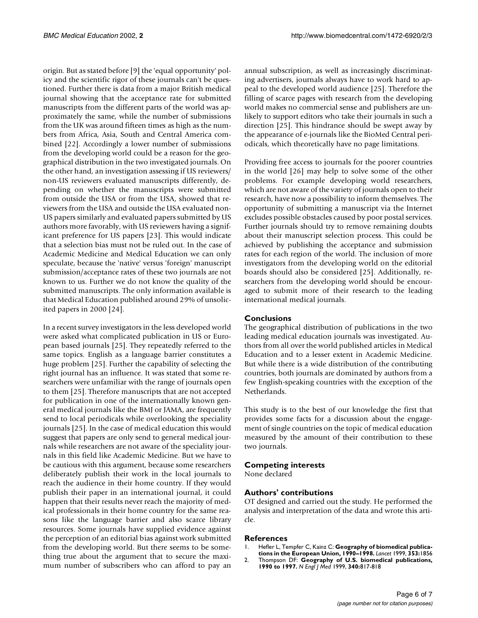origin. But as stated before [9] the 'equal opportunity' policy and the scientific rigor of these journals can't be questioned. Further there is data from a major British medical journal showing that the acceptance rate for submitted manuscripts from the different parts of the world was approximately the same, while the number of submissions from the UK was around fifteen times as high as the numbers from Africa, Asia, South and Central America combined [22]. Accordingly a lower number of submissions from the developing world could be a reason for the geographical distribution in the two investigated journals. On the other hand, an investigation assessing if US reviewers/ non-US reviewers evaluated manuscripts differently, depending on whether the manuscripts were submitted from outside the USA or from the USA, showed that reviewers from the USA and outside the USA evaluated non-US papers similarly and evaluated papers submitted by US authors more favorably, with US reviewers having a significant preference for US papers [23]. This would indicate that a selection bias must not be ruled out. In the case of Academic Medicine and Medical Education we can only speculate, because the 'native' versus 'foreign' manuscript submission/acceptance rates of these two journals are not known to us. Further we do not know the quality of the submitted manuscripts. The only information available is that Medical Education published around 29% of unsolicited papers in 2000 [24].

In a recent survey investigators in the less developed world were asked what complicated publication in US or European based journals [25]. They repeatedly referred to the same topics. English as a language barrier constitutes a huge problem [25]. Further the capability of selecting the right journal has an influence. It was stated that some researchers were unfamiliar with the range of journals open to them [25]. Therefore manuscripts that are not accepted for publication in one of the internationally known general medical journals like the BMJ or JAMA, are frequently send to local periodicals while overlooking the speciality journals [25]. In the case of medical education this would suggest that papers are only send to general medical journals while researchers are not aware of the speciality journals in this field like Academic Medicine. But we have to be cautious with this argument, because some researchers deliberately publish their work in the local journals to reach the audience in their home country. If they would publish their paper in an international journal, it could happen that their results never reach the majority of medical professionals in their home country for the same reasons like the language barrier and also scarce library resources. Some journals have supplied evidence against the perception of an editorial bias against work submitted from the developing world. But there seems to be something true about the argument that to secure the maximum number of subscribers who can afford to pay an annual subscription, as well as increasingly discriminating advertisers, journals always have to work hard to appeal to the developed world audience [25]. Therefore the filling of scarce pages with research from the developing world makes no commercial sense and publishers are unlikely to support editors who take their journals in such a direction [25]. This hindrance should be swept away by the appearance of e-journals like the BioMed Central periodicals, which theoretically have no page limitations.

Providing free access to journals for the poorer countries in the world [26] may help to solve some of the other problems. For example developing world researchers, which are not aware of the variety of journals open to their research, have now a possibility to inform themselves. The opportunity of submitting a manuscript via the Internet excludes possible obstacles caused by poor postal services. Further journals should try to remove remaining doubts about their manuscript selection process. This could be achieved by publishing the acceptance and submission rates for each region of the world. The inclusion of more investigators from the developing world on the editorial boards should also be considered [25]. Additionally, researchers from the developing world should be encouraged to submit more of their research to the leading international medical journals.

## **Conclusions**

The geographical distribution of publications in the two leading medical education journals was investigated. Authors from all over the world published articles in Medical Education and to a lesser extent in Academic Medicine. But while there is a wide distribution of the contributing countries, both journals are dominated by authors from a few English-speaking countries with the exception of the Netherlands.

This study is to the best of our knowledge the first that provides some facts for a discussion about the engagement of single countries on the topic of medical education measured by the amount of their contribution to these two journals.

## **Competing interests**

None declared

## **Authors' contributions**

OT designed and carried out the study. He performed the analysis and interpretation of the data and wrote this article.

## **References**

- 1. [Hefler L, Tempfer C, Kainz C:](http://www.ncbi.nlm.nih.gov/entrez/query.fcgi?cmd=Retrieve&db=PubMed&dopt=Abstract&list_uids=10359422) **Geography of biomedical publications in the European Union, 1990–1998.** *Lancet* 1999, **353:**1856
- 2. [Thompson DF:](http://www.ncbi.nlm.nih.gov/entrez/query.fcgi?cmd=Retrieve&db=PubMed&dopt=Abstract&list_uids=10075537) **Geography of U.S. biomedical publications, 1990 to 1997.** *N Engl J Med* 1999, **340:**817-818